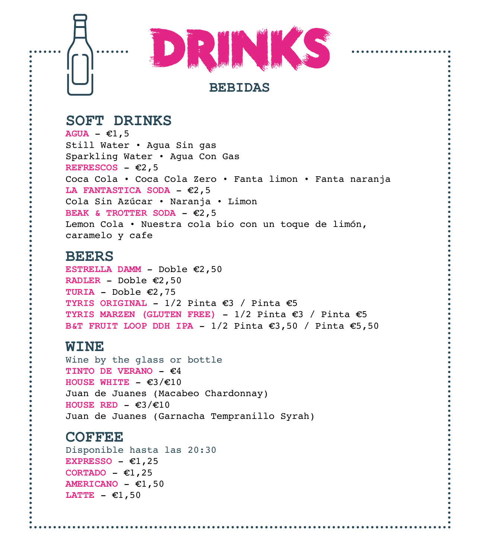

# **SOFT DRINKS**

 $AGUA - \epsilon1, 5$ Still Water • Agua Sin gas Sparkling Water • Agua Con Gas **REFRESCOS**  $\epsilon$ 2,5 Coca Cola • Coca Cola Zero • Fanta limon • Fanta naranja LA FANTASTICA SODA  $\epsilon$ 2, 5 Cola Sin Azúcar • Naranja • Limon **BEAK & TROTTER SODA -**  $\epsilon$ **2,5** Lemon Cola • Nuestra cola bio con un toque de limón, caramelo y cafe

#### **BEERS**

**ESTRELLA DAMM** - Doble €2,50 **RADLER** - Doble  $\epsilon$ 2,50 **TURIA** - Doble  $\epsilon$ 2,75 **TYRIS ORIGINAL - 1/2 Pinta**  $\epsilon$ **3 / Pinta**  $\epsilon$ **5 TYRIS MARZEN (GLUTEN FREE)** -  $1/2$  Pinta  $\epsilon$ 3 / Pinta  $\epsilon$ 5 **B&T FRUIT LOOP DDH IPA -**  $1/2$  **Pinta**  $\epsilon$ **3,50 / Pinta**  $\epsilon$ **5,50** 

#### **WINE**

Wine by the glass or bottle **TINTO DE VERANO -**  $\epsilon$ **4 HOUSE WHITE**  $- \epsilon 3/\epsilon 10$ Juan de Juanes (Macabeo Chardonnay) **HOUSE RED**  $- \epsilon 3/\epsilon 10$ Juan de Juanes (Garnacha Tempranillo Syrah)

# **COFFEE**

Disponible hasta las 20:30 **EXPRESSO**  $- \epsilon 1, 25$ CORTADO - €1,25  $AMERICANO -  $\epsilon$ 1,50$ LATTE  $\epsilon$ 1,50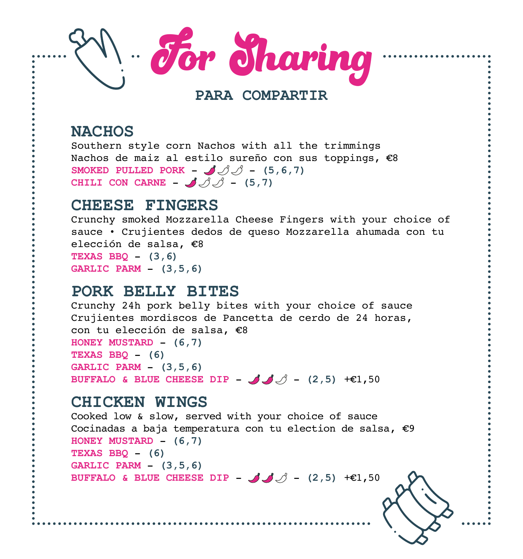

### **PARA COMPARTIR**

## **NACHOS**

Southern style corn Nachos with all the trimmings Nachos de maiz al estilo sureño con sus toppings,  $\epsilon$ 8 **SMOKED PULLED PORK** -  $\mathcal{A}\mathcal{A}\mathcal{A}$  - (5,6,7) **CHILI CON CARNE** -  $\mathcal{J} \mathcal{J}$  - (5,7)

#### **CHEESE FINGERS**

Crunchy smoked Mozzarella Cheese Fingers with your choice of sauce • Crujientes dedos de queso Mozzarella ahumada con tu elección de salsa.  $\epsilon$ 8 **TEXAS BBQ** - **(3,6) GARLIC PARM** - **(3,5,6)**

#### **PORK BELLY BITES**

Crunchy 24h pork belly bites with your choice of sauce Crujientes mordiscos de Pancetta de cerdo de 24 horas, con tu elección de salsa,  $\epsilon$ 8 **HONEY MUSTARD** - **(6,7) TEXAS BBQ** - **(6) GARLIC PARM** - **(3,5,6) BUFFALO & BLUE CHEESE DIP -**  $\mathcal{A}$  $\mathcal{A}$  **- (2,5) +** $\epsilon$ **1.50** 

#### l.<br>L **CHICKEN WINGS**

Cooked low & slow, served with your choice of sauce Cocinadas a baja temperatura con tu election de salsa,  $\epsilon$ 9 **HONEY MUSTARD** - **(6,7) TEXAS BBQ** - **(6) GARLIC PARM** - **(3,5,6) BUFFALO & BLUE CHEESE DIP** -  $\mathcal{A}$   $\mathcal{A}$  - (2,5) + $\epsilon$ 1,50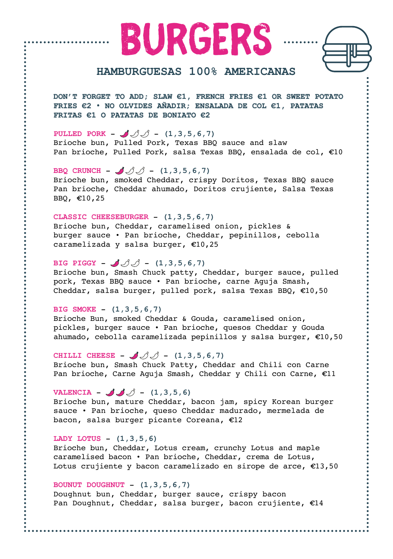burgers



#### **HAMBURGUESAS 100% AMERICANAS**

**DON'T FORGET TO ADD; SLAW €1, FRENCH FRIES €1 OR SWEET POTATO FRIES €2 • NO OLVIDES AÑADIR; ENSALADA DE COL €1, PATATAS FRITAS €1 O PATATAS DE BONIATO €2**

**PULLED PORK** –  $\mathcal{J}$   $\mathcal{J}$  – (1,3,5,6,7) Brioche bun, Pulled Pork, Texas BBQ sauce and slaw Pan brioche, Pulled Pork, salsa Texas BBQ, ensalada de col,  $E10$ 

**BBQ CRUNCH** -  $\sqrt{3}$   $\sqrt{3}$  - (1,3,5,6,7) Brioche bun, smoked Cheddar, crispy Doritos, Texas BBQ sauce Pan brioche, Cheddar ahumado, Doritos crujiente, Salsa Texas BBQ, ¤10,25

**CLASSIC CHEESEBURGER** - **(1,3,5,6,7)** Brioche bun, Cheddar, caramelised onion, pickles & burger sauce • Pan brioche, Cheddar, pepinillos, cebolla caramelizada y salsa burger,  $£10,25$ 

**BIG PIGGY** –  $\mathcal{J}\mathcal{J}$  – (1,3,5,6,7) Brioche bun, Smash Chuck patty, Cheddar, burger sauce, pulled pork, Texas BBQ sauce • Pan brioche, carne Aguja Smash, Cheddar, salsa burger, pulled pork, salsa Texas BBQ,  $€10,50$ 

**BIG SMOKE** - **(1,3,5,6,7)**

Brioche Bun, smoked Cheddar & Gouda, caramelised onion, pickles, burger sauce • Pan brioche, quesos Cheddar y Gouda ahumado, cebolla caramelizada pepinillos y salsa burger,  $\epsilon$ 10,50

**CHILLI CHEESE** -  $JJJ = (1,3,5,6,7)$ Brioche bun, Smash Chuck Patty, Cheddar and Chili con Carne Pan brioche, Carne Aguja Smash, Cheddar y Chili con Carne,  $E11$ 

**VALENCIA** –  $\mathcal{J}$   $\mathcal{J}$  – (1,3,5,6)

Brioche bun, mature Cheddar, bacon jam, spicy Korean burger sauce • Pan brioche, queso Cheddar madurado, mermelada de bacon, salsa burger picante Coreana,  $E12$ 

**LADY LOTUS** - **(1,3,5,6)**

Brioche bun, Cheddar, Lotus cream, crunchy Lotus and maple caramelised bacon • Pan brioche, Cheddar, crema de Lotus, Lotus crujiente y bacon caramelizado en sirope de arce,  $E13,50$ 

**BOUNUT DOUGHNUT** - **(1,3,5,6,7)**

Doughnut bun, Cheddar, burger sauce, crispy bacon Pan Doughnut, Cheddar, salsa burger, bacon crujiente,  $E14$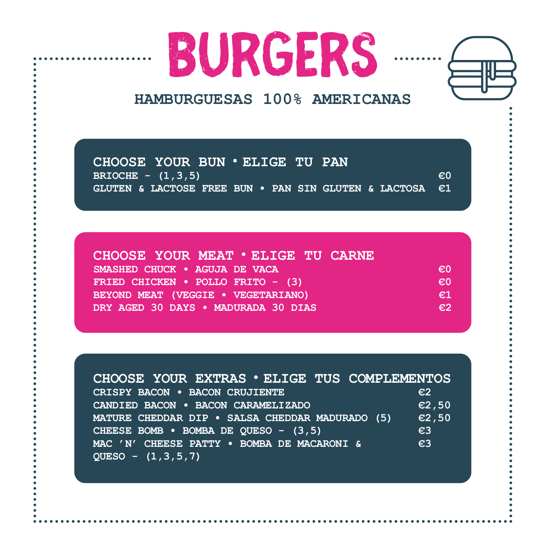



# **HAMBURGUESAS 100% AMERICANAS**

**CHOOSE YOUR BUN • ELIGE TU PAN BRIOCHE** -  $(1,3,5)$  **EXECUTE** -  $(1,3,5)$ **GLUTEN & LACTOSE FREE BUN • PAN SIN GLUTEN & LACTOSA €1**

| CHOOSE YOUR MEAT . ELIGE TU CARNE   |              |
|-------------------------------------|--------------|
| SMASHED CHUCK . AGUJA DE VACA       | €O           |
| FRIED CHICKEN . POLLO FRITO - (3)   | $\epsilon$ 0 |
| BEYOND MEAT (VEGGIE . VEGETARIANO)  | $\epsilon$ 1 |
| DRY AGED 30 DAYS . MADURADA 30 DIAS | $\epsilon$ . |

| CHOOSE YOUR EXTRAS . ELIGE TUS COMPLEMENTOS     |                 |
|-------------------------------------------------|-----------------|
| CRISPY BACON . BACON CRUJIENTE                  | $\varepsilon$ 2 |
| CANDIED BACON . BACON CARAMELIZADO              | $\epsilon$ 2,50 |
| MATURE CHEDDAR DIP . SALSA CHEDDAR MADURADO (5) | $\epsilon$ 2,50 |
| CHEESE BOMB • BOMBA DE QUESO - (3,5)            | E3              |
| MAC 'N' CHEESE PATTY . BOMBA DE MACARONI &      | $\epsilon$ 3    |
| QUESO - $(1,3,5,7)$                             |                 |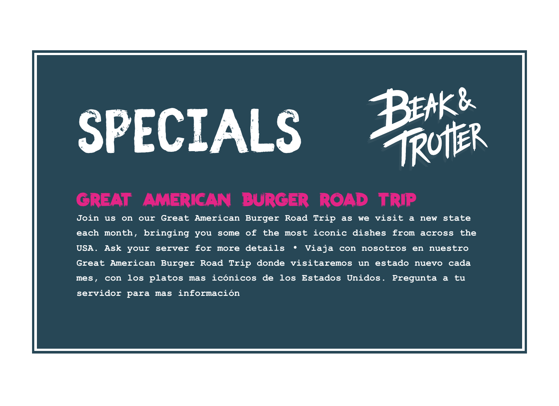# Specials



# great american burger road trip

**Join us on our Great American Burger Road Trip as we visit a new state each month, bringing you some of the most iconic dishes from across the USA. Ask your server for more details** • **Viaja con nosotros en nuestro Great American Burger Road Trip donde visitaremos un estado nuevo cada mes, con los platos mas icónicos de los Estados Unidos. Pregunta a tu servidor para mas información**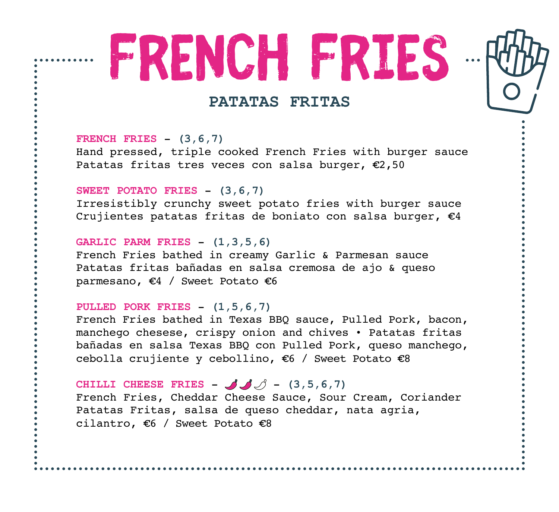# FRENCH FRIES -



## **PATATAS FRITAS**

**FRENCH FRIES** - **(3,6,7)** Hand pressed, triple cooked French Fries with burger sauce Patatas fritas tres veces con salsa burger,  $E2,50$ 

#### **SWEET POTATO FRIES** - **(3,6,7)**

Irresistibly crunchy sweet potato fries with burger sauce Crujientes patatas fritas de boniato con salsa burger,  $E4$ 

#### **GARLIC PARM FRIES** - **(1,3,5,6)**

French Fries bathed in creamy Garlic & Parmesan sauce Patatas fritas bañadas en salsa cremosa de ajo & queso parmesano,  $\epsilon$ 4 / Sweet Potato  $\epsilon$ 6

#### **PULLED PORK FRIES** - **(1,5,6,7)**

French Fries bathed in Texas BBQ sauce, Pulled Pork, bacon, manchego chesese, crispy onion and chives • Patatas fritas bañadas en salsa Texas BBQ con Pulled Pork, queso manchego, cebolla crujiente y cebollino,  $\epsilon$ 6 / Sweet Potato  $\epsilon$ 8

**CHILLI CHEESE FRIES** -  $JJ$   $\beta$  - (3,5,6,7) French Fries, Cheddar Cheese Sauce, Sour Cream, Coriander Patatas Fritas, salsa de queso cheddar, nata agria, cilantro,  $\epsilon$ 6 / Sweet Potato  $\epsilon$ 8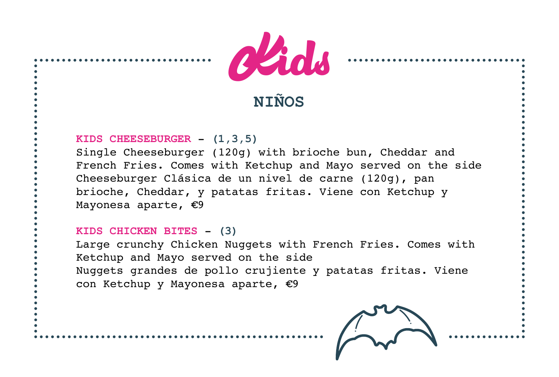

# **NIÑOS**

#### **KIDS CHEESEBURGER** - **(1,3,5)**

Single Cheeseburger (120g) with brioche bun, Cheddar and French Fries. Comes with Ketchup and Mayo served on the side Cheeseburger Clásica de un nivel de carne (120g), pan brioche, Cheddar, y patatas fritas. Viene con Ketchup y Mayonesa aparte,  $\epsilon$ 9

#### **KIDS CHICKEN BITES** - **(3)**

Large crunchy Chicken Nuggets with French Fries. Comes with Ketchup and Mayo served on the side Nuggets grandes de pollo crujiente y patatas fritas. Viene con Ketchup y Mayonesa aparte,  $\epsilon$ 9

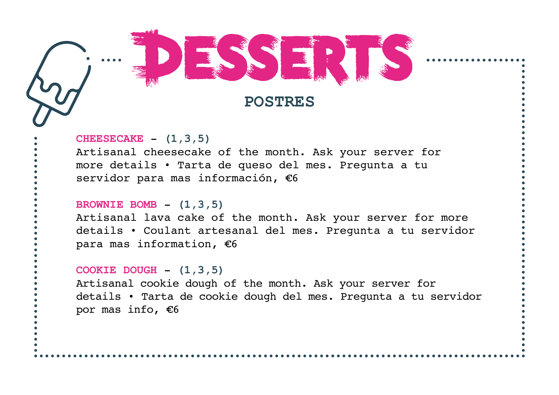

#### **CHEESECAKE** - **(1,3,5)**

Artisanal cheesecake of the month. Ask your server for more details • Tarta de queso del mes. Pregunta a tu servidor para mas información,  $E6$ 

#### **BROWNIE BOMB** - **(1,3,5)**

Artisanal lava cake of the month. Ask your server for more details • Coulant artesanal del mes. Pregunta a tu servidor para mas information,  $€6$ 

#### **COOKIE DOUGH** - **(1,3,5)**

Artisanal cookie dough of the month. Ask your server for details • Tarta de cookie dough del mes. Pregunta a tu servidor por mas info,  $€6$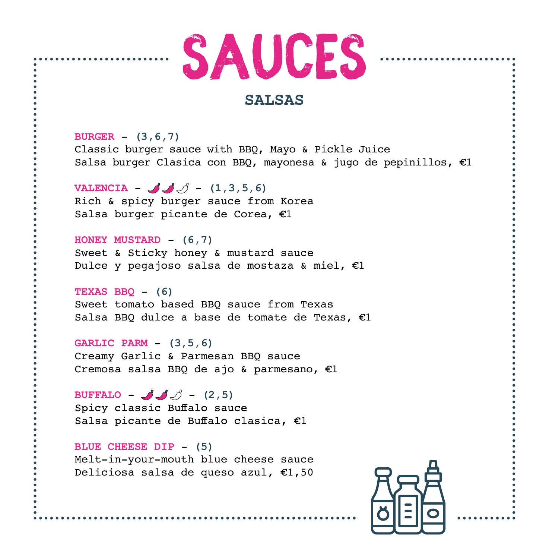

#### **SALSAS**

**BURGER** - **(3,6,7)** Classic burger sauce with BBQ, Mayo & Pickle Juice Salsa burger Clasica con BBQ, mayonesa & jugo de pepinillos,  $\epsilon$ 1

**VALENCIA** –  $\mathcal{J}$  – (1,3,5,6) Rich & spicy burger sauce from Korea Salsa burger picante de Corea,  $E1$ 

**HONEY MUSTARD** - **(6,7)** Sweet & Sticky honey & mustard sauce Dulce y pegajoso salsa de mostaza & miel,  $E1$ 

**TEXAS BBQ** - **(6)** Sweet tomato based BBQ sauce from Texas Salsa BBQ dulce a base de tomate de Texas,  $E1$ 

**GARLIC PARM** - **(3,5,6)** Creamy Garlic & Parmesan BBQ sauce Cremosa salsa BBQ de ajo & parmesano,  $E1$ 

**BUFFALO** -  $\mathcal{A} \mathcal{A}$  - (2,5) Spicy classic Buffalo sauce Salsa picante de Buffalo clasica, €1

**BLUE CHEESE DIP** - **(5)** Melt-in-your-mouth blue cheese sauce Deliciosa salsa de queso azul,  $£1,50$